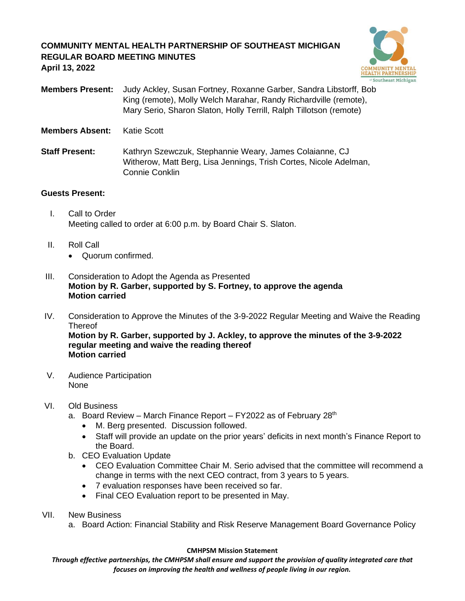# **COMMUNITY MENTAL HEALTH PARTNERSHIP OF SOUTHEAST MICHIGAN REGULAR BOARD MEETING MINUTES April 13, 2022**



**Members Present:** Judy Ackley, Susan Fortney, Roxanne Garber, Sandra Libstorff, Bob King (remote), Molly Welch Marahar, Randy Richardville (remote), Mary Serio, Sharon Slaton, Holly Terrill, Ralph Tillotson (remote)

**Members Absent:** Katie Scott

**Staff Present:** Kathryn Szewczuk, Stephannie Weary, James Colaianne, CJ Witherow, Matt Berg, Lisa Jennings, Trish Cortes, Nicole Adelman, Connie Conklin

## **Guests Present:**

- I. Call to Order Meeting called to order at 6:00 p.m. by Board Chair S. Slaton.
- II. Roll Call
	- Quorum confirmed.
- III. Consideration to Adopt the Agenda as Presented **Motion by R. Garber, supported by S. Fortney, to approve the agenda Motion carried**
- IV. Consideration to Approve the Minutes of the 3-9-2022 Regular Meeting and Waive the Reading **Thereof Motion by R. Garber, supported by J. Ackley, to approve the minutes of the 3-9-2022 regular meeting and waive the reading thereof Motion carried**
- V. Audience Participation None

## VI. Old Business

- a. Board Review March Finance Report FY2022 as of February  $28<sup>th</sup>$ 
	- M. Berg presented. Discussion followed.
	- Staff will provide an update on the prior years' deficits in next month's Finance Report to the Board.
- b. CEO Evaluation Update
	- CEO Evaluation Committee Chair M. Serio advised that the committee will recommend a change in terms with the next CEO contract, from 3 years to 5 years.
	- 7 evaluation responses have been received so far.
	- Final CEO Evaluation report to be presented in May.
- VII. New Business
	- a. Board Action: Financial Stability and Risk Reserve Management Board Governance Policy

#### **CMHPSM Mission Statement**

*Through effective partnerships, the CMHPSM shall ensure and support the provision of quality integrated care that focuses on improving the health and wellness of people living in our region.*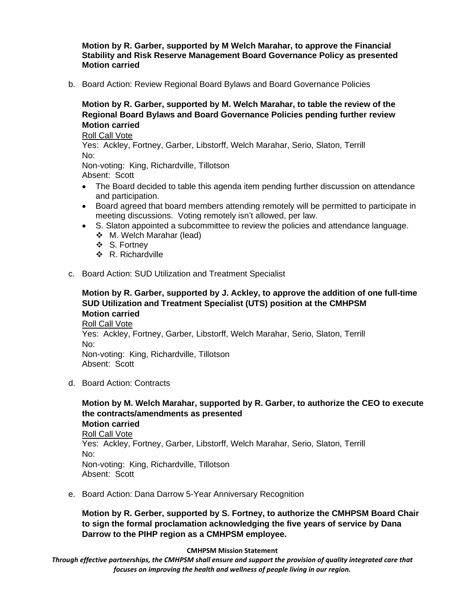**Motion by R. Garber, supported by M Welch Marahar, to approve the Financial Stability and Risk Reserve Management Board Governance Policy as presented Motion carried**

b. Board Action: Review Regional Board Bylaws and Board Governance Policies

**Motion by R. Garber, supported by M. Welch Marahar, to table the review of the Regional Board Bylaws and Board Governance Policies pending further review Motion carried**

Roll Call Vote

Yes: Ackley, Fortney, Garber, Libstorff, Welch Marahar, Serio, Slaton, Terrill No:

Non-voting: King, Richardville, Tillotson Absent: Scott

- The Board decided to table this agenda item pending further discussion on attendance and participation.
- Board agreed that board members attending remotely will be permitted to participate in meeting discussions. Voting remotely isn't allowed, per law.
- S. Slaton appointed a subcommittee to review the policies and attendance language.
	- ❖ M. Welch Marahar (lead)
	- ❖ S. Fortney
	- ❖ R. Richardville
- c. Board Action: SUD Utilization and Treatment Specialist

## **Motion by R. Garber, supported by J. Ackley, to approve the addition of one full-time SUD Utilization and Treatment Specialist (UTS) position at the CMHPSM Motion carried**

Roll Call Vote Yes: Ackley, Fortney, Garber, Libstorff, Welch Marahar, Serio, Slaton, Terrill No: Non-voting: King, Richardville, Tillotson Absent: Scott

d. Board Action: Contracts

**Motion by M. Welch Marahar, supported by R. Garber, to authorize the CEO to execute the contracts/amendments as presented Motion carried** Roll Call Vote Yes: Ackley, Fortney, Garber, Libstorff, Welch Marahar, Serio, Slaton, Terrill No: Non-voting: King, Richardville, Tillotson Absent: Scott

e. Board Action: Dana Darrow 5-Year Anniversary Recognition

**Motion by R. Gerber, supported by S. Fortney, to authorize the CMHPSM Board Chair to sign the formal proclamation acknowledging the five years of service by Dana Darrow to the PIHP region as a CMHPSM employee.**

**CMHPSM Mission Statement**

*Through effective partnerships, the CMHPSM shall ensure and support the provision of quality integrated care that focuses on improving the health and wellness of people living in our region.*